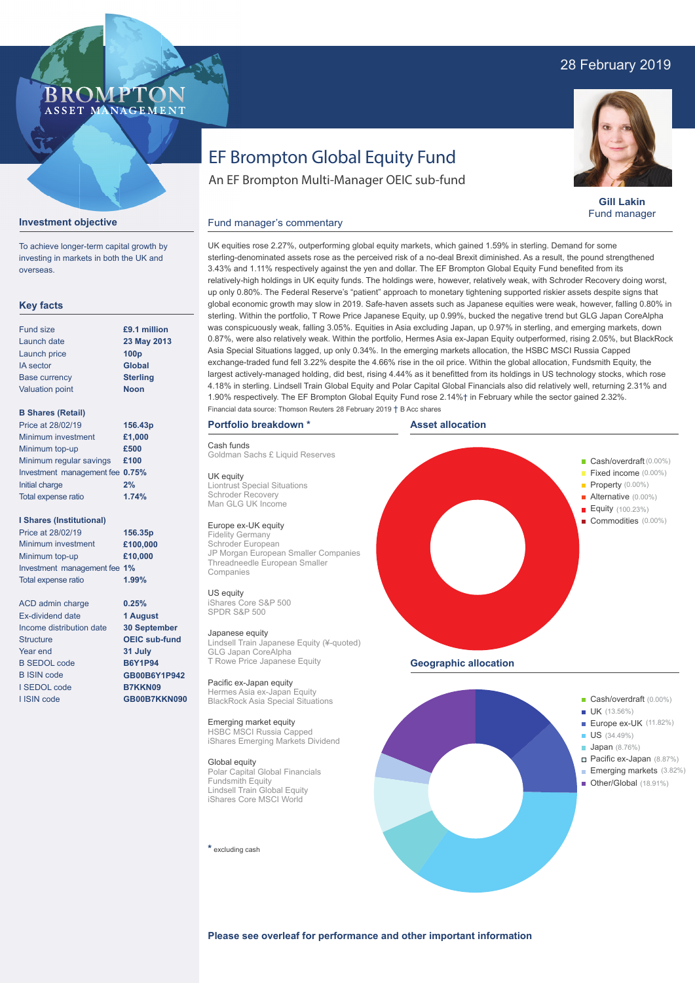# 28 February 2019

# BROMP ASSET MANAGEMENT

# EF Brompton Global Equity Fund

An EF Brompton Multi-Manager OEIC sub-fund



**Gill Lakin** Fund manager

## **Investment objective**

To achieve longer-term capital growth by investing in markets in both the UK and overseas.

# **Key facts**

| £9.1 million     |
|------------------|
| 23 May 2013      |
| 100 <sub>p</sub> |
| <b>Global</b>    |
| <b>Sterling</b>  |
| <b>Noon</b>      |
|                  |

## **B Shares (Retail)**

| Price at 28/02/19               | 156.43p |
|---------------------------------|---------|
| Minimum investment              | £1,000  |
| Minimum top-up                  | £500    |
| Minimum regular savings         | £100    |
| Investment management fee 0.75% |         |
| Initial charge                  | 2%      |
| Total expense ratio             | 1.74%   |

## **I Shares (Institutional)**

Minimum investment Minimum top-up Investment management fee **1%** Total expense ratio **£100,000 £10,000** Price at 28/02/19 **156.35p 1.99%**

> **0.25% 1 August 30 September OEIC sub-fund 31 July B6Y1P94 GB00B6Y1P942 B7KKN09 GB00B7KKN090**

ACD admin charge Ex-dividend date Income distribution date Structure Year end B SEDOL code B ISIN code I SEDOL code I ISIN code

UK equities rose 2.27%, outperforming global equity markets, which gained 1.59% in sterling. Demand for some sterling-denominated assets rose as the perceived risk of a no-deal Brexit diminished. As a result, the pound strengthened 3.43% and 1.11% respectively against the yen and dollar. The EF Brompton Global Equity Fund benefited from its relatively-high holdings in UK equity funds. The holdings were, however, relatively weak, with Schroder Recovery doing worst, up only 0.80%. The Federal Reserve's "patient" approach to monetary tightening supported riskier assets despite signs that global economic growth may slow in 2019. Safe-haven assets such as Japanese equities were weak, however, falling 0.80% in sterling. Within the portfolio, T Rowe Price Japanese Equity, up 0.99%, bucked the negative trend but GLG Japan CoreAlpha was conspicuously weak, falling 3.05%. Equities in Asia excluding Japan, up 0.97% in sterling, and emerging markets, down 0.87%, were also relatively weak. Within the portfolio, Hermes Asia ex-Japan Equity outperformed, rising 2.05%, but BlackRock Asia Special Situations lagged, up only 0.34%. In the emerging markets allocation, the HSBC MSCI Russia Capped exchange-traded fund fell 3.22% despite the 4.66% rise in the oil price. Within the global allocation, Fundsmith Equity, the largest actively-managed holding, did best, rising 4.44% as it benefitted from its holdings in US technology stocks, which rose 4.18% in sterling. Lindsell Train Global Equity and Polar Capital Global Financials also did relatively well, returning 2.31% and 1.90% respectively. The EF Brompton Global Equity Fund rose 2.14%† in February while the sector gained 2.32%. Financial data source: Thomson Reuters 28 February 2019 † B Acc shares

# **Portfolio breakdown \***

Cash funds

Goldman Sachs £ Liquid Reserves

Fund manager's commentary

UK equity Liontrust Special Situations Schroder Recovery Man GLG UK Income

## Europe ex-UK equity

Fidelity Germany Schroder European JP Morgan European Smaller Companies Threadneedle European Smaller Companies

# US equity

iShares Core S&P 500 SPDR S&P 500

#### Japanese equity

Lindsell Train Japanese Equity (¥-quoted) GLG Japan CoreAlpha **T Rowe Price Japanese Equity** 

Pacific ex-Japan equity Hermes Asia ex-Japan Equity BlackRock Asia Special Situations

#### Emerging market equity HSBC MSCI Russia Capped iShares Emerging Markets Dividend

Global equity Polar Capital Global Financials Fundsmith Equity Lindsell Train Global Equity iShares Core MSCI World

**\*** excluding cash





**Please see overleaf for performance and other important information**